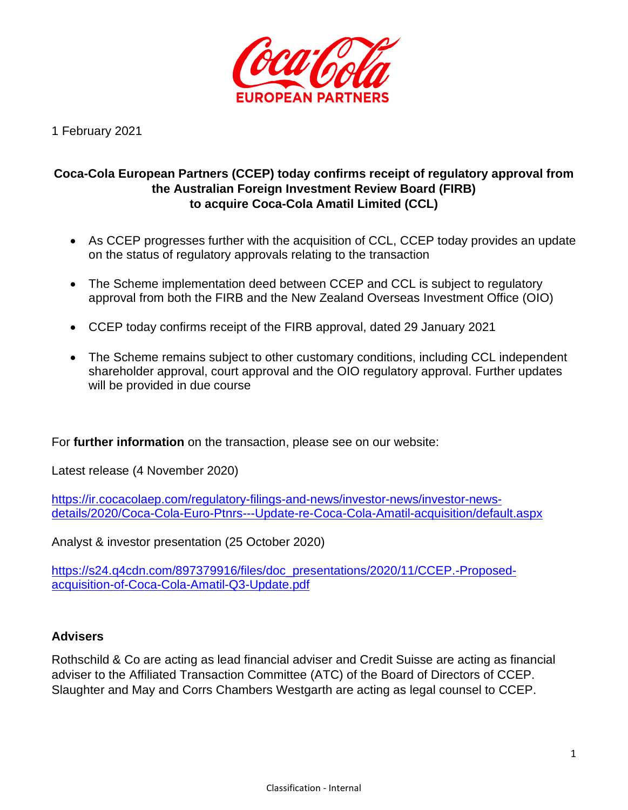

1 February 2021

# **Coca-Cola European Partners (CCEP) today confirms receipt of regulatory approval from the Australian Foreign Investment Review Board (FIRB) to acquire Coca-Cola Amatil Limited (CCL)**

- As CCEP progresses further with the acquisition of CCL, CCEP today provides an update on the status of regulatory approvals relating to the transaction
- The Scheme implementation deed between CCEP and CCL is subject to regulatory approval from both the FIRB and the New Zealand Overseas Investment Office (OIO)
- CCEP today confirms receipt of the FIRB approval, dated 29 January 2021
- The Scheme remains subject to other customary conditions, including CCL independent shareholder approval, court approval and the OIO regulatory approval. Further updates will be provided in due course

For **further information** on the transaction, please see on our website:

Latest release (4 November 2020)

[https://ir.cocacolaep.com/regulatory-filings-and-news/investor-news/investor-news](https://ir.cocacolaep.com/regulatory-filings-and-news/investor-news/investor-news-details/2020/Coca-Cola-Euro-Ptnrs---Update-re-Coca-Cola-Amatil-acquisition/default.aspx)[details/2020/Coca-Cola-Euro-Ptnrs---Update-re-Coca-Cola-Amatil-acquisition/default.aspx](https://ir.cocacolaep.com/regulatory-filings-and-news/investor-news/investor-news-details/2020/Coca-Cola-Euro-Ptnrs---Update-re-Coca-Cola-Amatil-acquisition/default.aspx) 

Analyst & investor presentation (25 October 2020)

[https://s24.q4cdn.com/897379916/files/doc\\_presentations/2020/11/CCEP.-Proposed](https://s24.q4cdn.com/897379916/files/doc_presentations/2020/11/CCEP.-Proposed-acquisition-of-Coca-Cola-Amatil-Q3-Update.pdf)[acquisition-of-Coca-Cola-Amatil-Q3-Update.pdf](https://s24.q4cdn.com/897379916/files/doc_presentations/2020/11/CCEP.-Proposed-acquisition-of-Coca-Cola-Amatil-Q3-Update.pdf)

## **Advisers**

Rothschild & Co are acting as lead financial adviser and Credit Suisse are acting as financial adviser to the Affiliated Transaction Committee (ATC) of the Board of Directors of CCEP. Slaughter and May and Corrs Chambers Westgarth are acting as legal counsel to CCEP.